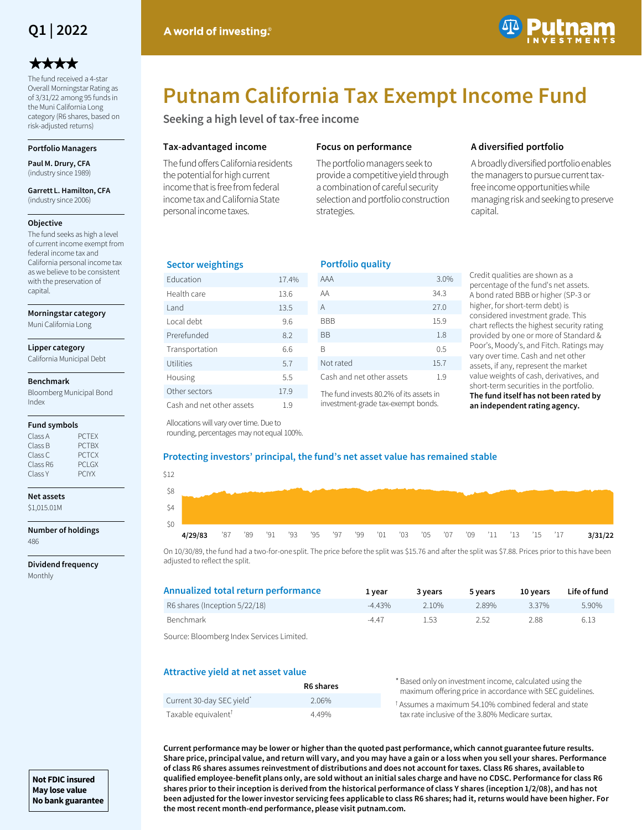

# \*\*\*\*

The fund received a 4-star Overall Morningstar Rating as of 3/31/22 among 95 funds in the Muni California Long category (R6 shares, based on risk-adjusted returns)

# **Portfolio Managers**

**Paul M. Drury, CFA**  (industry since 1989)

#### **Garrett L. Hamilton, CFA**  (industry since 2006)

## **Objective**

The fund seeks as high a level of current income exempt from federal income tax and California personal income tax as we believe to be consistent with the preservation of capital.

#### **Morningstar category**

Muni California Long

## **Lipper category**

California Municipal Debt

#### **Benchmark**

Bloomberg Municipal Bond Index

## **Fund symbols**

| Class A  | <b>PCTFX</b>  |
|----------|---------------|
| Class B  | <b>PCTBX</b>  |
| Class C  | <b>PCTCX</b>  |
| Class R6 | <b>PCI GX</b> |
| Class Y  | <b>PCIYX</b>  |

#### **Net assets** \$1,015.01M

#### **Number of holdings** 486

**Dividend frequency** Monthly



# **Putnam California Tax Exempt Income Fund**

**Seeking a high level of tax-free income**

# **Tax-advantaged income**

The fund offers California residents the potential for high current income that is free from federal income tax and California State personal income taxes.

# **Focus on performance**

**Portfolio quality**

The portfolio managers seek to provide a competitive yield through a combination of careful security selection and portfolio construction strategies.

# **A diversified portfolio**

A broadly diversified portfolio enables the managers to pursue current taxfree income opportunities while managing risk and seeking to preserve capital.

# **Sector weightings**

| <b>Education</b>          | 17.4% |
|---------------------------|-------|
| Health care               | 13.6  |
| I and                     | 13.5  |
| Local debt                | 9.6   |
| Prerefunded               | 8.2   |
| Transportation            | 6.6   |
| Utilities                 | 5.7   |
| Housing                   | 5.5   |
| Other sectors             | 17.9  |
| Cash and net other assets | 1.9   |

| FUI LIULIU YUALILY        |      |
|---------------------------|------|
| AAA                       | 3.0% |
| AA                        | 34.3 |
| Α                         | 27.0 |
| BBB                       | 15.9 |
| ВB                        | 1.8  |
| R                         | 0.5  |
| Not rated                 | 15.7 |
| Cash and net other assets | 1.9  |
|                           |      |

The fund invests 80.2% of its assets in investment-grade tax-exempt bonds.

Credit qualities are shown as a percentage of the fund's net assets. A bond rated BBB or higher (SP-3 or higher, for short-term debt) is considered investment grade. This chart reflects the highest security rating provided by one or more of Standard & Poor's, Moody's, and Fitch. Ratings may vary over time. Cash and net other assets, if any, represent the market value weights of cash, derivatives, and short-term securities in the portfolio. **The fund itself has not been rated by an independent rating agency.**

Allocations will vary over time. Due to rounding, percentages may not equal 100%.

# **Protecting investors' principal, the fund's net asset value has remained stable**

| \$12 |         |     |     |  |                                                         |  |  |  |  |  |         |
|------|---------|-----|-----|--|---------------------------------------------------------|--|--|--|--|--|---------|
| \$8  |         |     |     |  |                                                         |  |  |  |  |  |         |
| \$4  |         |     |     |  |                                                         |  |  |  |  |  |         |
| \$0  |         |     |     |  |                                                         |  |  |  |  |  |         |
|      | 4/29/83 | '87 | '89 |  | '91 '93 '95 '97 '99 '01 '03 '05 '07 '09 '11 '13 '15 '17 |  |  |  |  |  | 3/31/22 |

On 10/30/89, the fund had a two-for-one split. The price before the split was \$15.76 and after the split was \$7.88. Prices prior to this have been adjusted to reflect the split.

| Annualized total return performance | 1 vear    | 3 years | 5 years | 10 years | Life of fund |
|-------------------------------------|-----------|---------|---------|----------|--------------|
| R6 shares (Inception 5/22/18)       | $-4.43\%$ | 210%    | 2.89%   | 3.37%    | 5.90%        |
| <b>Benchmark</b>                    | $-4.47$   | 1.53    | 2.52    | 288      | 6.13         |
|                                     |           |         |         |          |              |

Source: Bloomberg Index Services Limited.

# **Attractive yield at net asset value**

|                                 | R6 shares | * Based only on investment income, calculated using the<br>maximum offering price in accordance with SEC guidelines. |
|---------------------------------|-----------|----------------------------------------------------------------------------------------------------------------------|
| Current 30-day SEC yield        | 2.06%     | <sup>t</sup> Assumes a maximum 54.10% combined federal and state                                                     |
| Taxable equivalent <sup>†</sup> | 449%      | tax rate inclusive of the 3.80% Medicare surtax.                                                                     |

**Current performance may be lower or higher than the quoted past performance, which cannot guarantee future results. Share price, principal value, and return will vary, and you may have a gain or a loss when you sell your shares. Performance of class R6 shares assumes reinvestment of distributions and does not account for taxes. Class R6 shares, available to qualified employee-benefit plans only, are sold without an initial sales charge and have no CDSC. Performance for class R6 shares prior to their inception is derived from the historical performance of class Y shares (inception 1/2/08), and has not been adjusted for the lower investor servicing fees applicable to class R6 shares; had it, returns would have been higher. For the most recent month-end performance, please visit putnam.com.** 

**Not FDIC insured May lose value No bank guarantee**